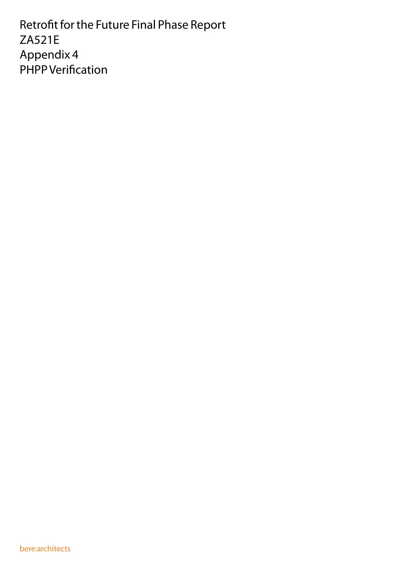Retrofit for the Future Final Phase Report ZA521E Appendix 4 PHPP Verification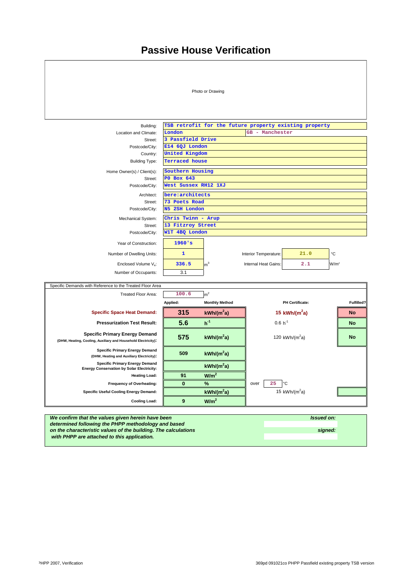## **Passive House Verification**



 *with PHPP are attached to this application.*